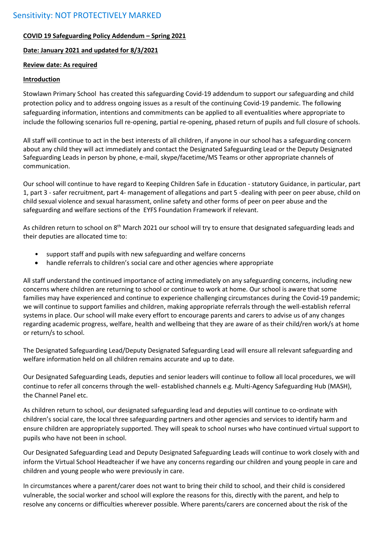## **COVID 19 Safeguarding Policy Addendum – Spring 2021**

### **Date: January 2021 and updated for 8/3/2021**

### **Review date: As required**

### **Introduction**

Stowlawn Primary School has created this safeguarding Covid-19 addendum to support our safeguarding and child protection policy and to address ongoing issues as a result of the continuing Covid-19 pandemic. The following safeguarding information, intentions and commitments can be applied to all eventualities where appropriate to include the following scenarios full re-opening, partial re-opening, phased return of pupils and full closure of schools.

All staff will continue to act in the best interests of all children, if anyone in our school has a safeguarding concern about any child they will act immediately and contact the Designated Safeguarding Lead or the Deputy Designated Safeguarding Leads in person by phone, e-mail, skype/facetime/MS Teams or other appropriate channels of communication.

Our school will continue to have regard to Keeping Children Safe in Education - statutory Guidance, in particular, part 1, part 3 - safer recruitment, part 4- management of allegations and part 5 -dealing with peer on peer abuse, child on child sexual violence and sexual harassment, online safety and other forms of peer on peer abuse and the safeguarding and welfare sections of the EYFS Foundation Framework if relevant.

As children return to school on 8<sup>th</sup> March 2021 our school will try to ensure that designated safeguarding leads and their deputies are allocated time to:

- support staff and pupils with new safeguarding and welfare concerns
- handle referrals to children's social care and other agencies where appropriate

All staff understand the continued importance of acting immediately on any safeguarding concerns, including new concerns where children are returning to school or continue to work at home. Our school is aware that some families may have experienced and continue to experience challenging circumstances during the Covid-19 pandemic; we will continue to support families and children, making appropriate referrals through the well-establish referral systems in place. Our school will make every effort to encourage parents and carers to advise us of any changes regarding academic progress, welfare, health and wellbeing that they are aware of as their child/ren work/s at home or return/s to school.

The Designated Safeguarding Lead/Deputy Designated Safeguarding Lead will ensure all relevant safeguarding and welfare information held on all children remains accurate and up to date.

Our Designated Safeguarding Leads, deputies and senior leaders will continue to follow all local procedures, we will continue to refer all concerns through the well- established channels e.g. Multi-Agency Safeguarding Hub (MASH), the Channel Panel etc.

As children return to school, our designated safeguarding lead and deputies will continue to co-ordinate with children's social care, the local three safeguarding partners and other agencies and services to identify harm and ensure children are appropriately supported. They will speak to school nurses who have continued virtual support to pupils who have not been in school.

Our Designated Safeguarding Lead and Deputy Designated Safeguarding Leads will continue to work closely with and inform the Virtual School Headteacher if we have any concerns regarding our children and young people in care and children and young people who were previously in care.

In circumstances where a parent/carer does not want to bring their child to school, and their child is considered vulnerable, the social worker and school will explore the reasons for this, directly with the parent, and help to resolve any concerns or difficulties wherever possible. Where parents/carers are concerned about the risk of the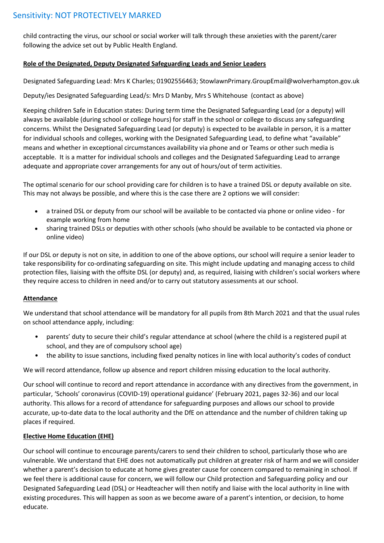# Sensitivity: NOT PROTECTIVELY MARKED

child contracting the virus, our school or social worker will talk through these anxieties with the parent/carer following the advice set out by Public Health England.

### **Role of the Designated, Deputy Designated Safeguarding Leads and Senior Leaders**

Designated Safeguarding Lead: Mrs K Charles; 01902556463; StowlawnPrimary.GroupEmail@wolverhampton.gov.uk

Deputy/ies Designated Safeguarding Lead/s: Mrs D Manby, Mrs S Whitehouse (contact as above)

Keeping children Safe in Education states: During term time the Designated Safeguarding Lead (or a deputy) will always be available (during school or college hours) for staff in the school or college to discuss any safeguarding concerns. Whilst the Designated Safeguarding Lead (or deputy) is expected to be available in person, it is a matter for individual schools and colleges, working with the Designated Safeguarding Lead, to define what "available" means and whether in exceptional circumstances availability via phone and or Teams or other such media is acceptable. It is a matter for individual schools and colleges and the Designated Safeguarding Lead to arrange adequate and appropriate cover arrangements for any out of hours/out of term activities.

The optimal scenario for our school providing care for children is to have a trained DSL or deputy available on site. This may not always be possible, and where this is the case there are 2 options we will consider:

- a trained DSL or deputy from our school will be available to be contacted via phone or online video for example working from home
- sharing trained DSLs or deputies with other schools (who should be available to be contacted via phone or online video)

If our DSL or deputy is not on site, in addition to one of the above options, our school will require a senior leader to take responsibility for co-ordinating safeguarding on site. This might include updating and managing access to child protection files, liaising with the offsite DSL (or deputy) and, as required, liaising with children's social workers where they require access to children in need and/or to carry out statutory assessments at our school.

### **Attendance**

We understand that school attendance will be mandatory for all pupils from 8th March 2021 and that the usual rules on school attendance apply, including:

- parents' duty to secure their child's regular attendance at school (where the child is a registered pupil at school, and they are of compulsory school age)
- the ability to issue sanctions, including fixed penalty notices in line with local authority's codes of conduct

We will record attendance, follow up absence and report children missing education to the local authority.

Our school will continue to record and report attendance in accordance with any directives from the government, in particular, 'Schools' coronavirus (COVID-19) operational guidance' (February 2021, pages 32-36) and our local authority. This allows for a record of attendance for safeguarding purposes and allows our school to provide accurate, up-to-date data to the local authority and the DfE on attendance and the number of children taking up places if required.

#### **Elective Home Education (EHE)**

Our school will continue to encourage parents/carers to send their children to school, particularly those who are vulnerable. We understand that EHE does not automatically put children at greater risk of harm and we will consider whether a parent's decision to educate at home gives greater cause for concern compared to remaining in school. If we feel there is additional cause for concern, we will follow our Child protection and Safeguarding policy and our Designated Safeguarding Lead (DSL) or Headteacher will then notify and liaise with the local authority in line with existing procedures. This will happen as soon as we become aware of a parent's intention, or decision, to home educate.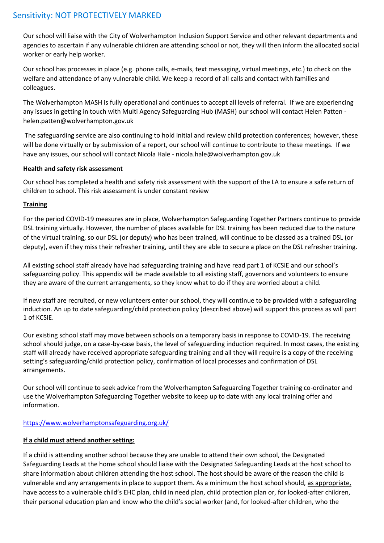Our school will liaise with the City of Wolverhampton Inclusion Support Service and other relevant departments and agencies to ascertain if any vulnerable children are attending school or not, they will then inform the allocated social worker or early help worker.

Our school has processes in place (e.g. phone calls, e-mails, text messaging, virtual meetings, etc.) to check on the welfare and attendance of any vulnerable child. We keep a record of all calls and contact with families and colleagues.

The Wolverhampton MASH is fully operational and continues to accept all levels of referral. If we are experiencing any issues in getting in touch with Multi Agency Safeguarding Hub (MASH) our school will contact Helen Patten helen.patten@wolverhampton.gov.uk

The safeguarding service are also continuing to hold initial and review child protection conferences; however, these will be done virtually or by submission of a report, our school will continue to contribute to these meetings. If we have any issues, our school will contact Nicola Hale - nicola.hale@wolverhampton.gov.uk

## **Health and safety risk assessment**

Our school has completed a health and safety risk assessment with the support of the LA to ensure a safe return of children to school. This risk assessment is under constant review

## **Training**

For the period COVID-19 measures are in place, Wolverhampton Safeguarding Together Partners continue to provide DSL training virtually. However, the number of places available for DSL training has been reduced due to the nature of the virtual training, so our DSL (or deputy) who has been trained, will continue to be classed as a trained DSL (or deputy), even if they miss their refresher training, until they are able to secure a place on the DSL refresher training.

All existing school staff already have had safeguarding training and have read part 1 of KCSIE and our school's safeguarding policy. This appendix will be made available to all existing staff, governors and volunteers to ensure they are aware of the current arrangements, so they know what to do if they are worried about a child.

If new staff are recruited, or new volunteers enter our school, they will continue to be provided with a safeguarding induction. An up to date safeguarding/child protection policy (described above) will support this process as will part 1 of KCSIE.

Our existing school staff may move between schools on a temporary basis in response to COVID-19. The receiving school should judge, on a case-by-case basis, the level of safeguarding induction required. In most cases, the existing staff will already have received appropriate safeguarding training and all they will require is a copy of the receiving setting's safeguarding/child protection policy, confirmation of local processes and confirmation of DSL arrangements.

Our school will continue to seek advice from the Wolverhampton Safeguarding Together training co-ordinator and use the Wolverhampton Safeguarding Together website to keep up to date with any local training offer and information.

# <https://www.wolverhamptonsafeguarding.org.uk/>

# **If a child must attend another setting:**

If a child is attending another school because they are unable to attend their own school, the Designated Safeguarding Leads at the home school should liaise with the Designated Safeguarding Leads at the host school to share information about children attending the host school. The host should be aware of the reason the child is vulnerable and any arrangements in place to support them. As a minimum the host school should, as appropriate, have access to a vulnerable child's EHC plan, child in need plan, child protection plan or, for looked-after children, their personal education plan and know who the child's social worker (and, for looked-after children, who the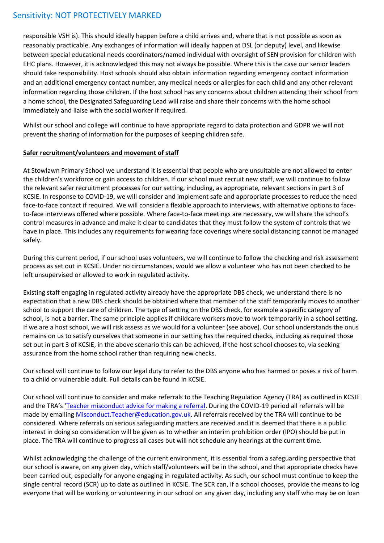# Sensitivity: NOT PROTECTIVELY MARKED

responsible VSH is). This should ideally happen before a child arrives and, where that is not possible as soon as reasonably practicable. Any exchanges of information will ideally happen at DSL (or deputy) level, and likewise between special educational needs coordinators/named individual with oversight of SEN provision for children with EHC plans. However, it is acknowledged this may not always be possible. Where this is the case our senior leaders should take responsibility. Host schools should also obtain information regarding emergency contact information and an additional emergency contact number, any medical needs or allergies for each child and any other relevant information regarding those children. If the host school has any concerns about children attending their school from a home school, the Designated Safeguarding Lead will raise and share their concerns with the home school immediately and liaise with the social worker if required.

Whilst our school and college will continue to have appropriate regard to data protection and GDPR we will not prevent the sharing of information for the purposes of keeping children safe.

### **Safer recruitment/volunteers and movement of staff**

At Stowlawn Primary School we understand it is essential that people who are unsuitable are not allowed to enter the children's workforce or gain access to children. If our school must recruit new staff, we will continue to follow the relevant safer recruitment processes for our setting, including, as appropriate, relevant sections in part 3 of KCSIE. In response to COVID-19, we will consider and implement safe and appropriate processes to reduce the need face-to-face contact if required. We will consider a flexible approach to interviews, with alternative options to faceto-face interviews offered where possible. Where face-to-face meetings are necessary, we will share the school's control measures in advance and make it clear to candidates that they must follow the system of controls that we have in place. This includes any requirements for wearing face coverings where social distancing cannot be managed safely.

During this current period, if our school uses volunteers, we will continue to follow the checking and risk assessment process as set out in KCSIE. Under no circumstances, would we allow a volunteer who has not been checked to be left unsupervised or allowed to work in regulated activity.

Existing staff engaging in regulated activity already have the appropriate DBS check, we understand there is no expectation that a new DBS check should be obtained where that member of the staff temporarily moves to another school to support the care of children. The type of setting on the DBS check, for example a specific category of school, is not a barrier. The same principle applies if childcare workers move to work temporarily in a school setting. If we are a host school, we will risk assess as we would for a volunteer (see above). Our school understands the onus remains on us to satisfy ourselves that someone in our setting has the required checks, including as required those set out in part 3 of KCSIE, in the above scenario this can be achieved, if the host school chooses to, via seeking assurance from the home school rather than requiring new checks.

Our school will continue to follow our legal duty to refer to the DBS anyone who has harmed or poses a risk of harm to a child or vulnerable adult. Full details can be found in KCSIE.

Our school will continue to consider and make referrals to the Teaching Regulation Agency (TRA) as outlined in KCSIE and the TRA's '[Teacher misconduct advice for making a referral.](https://www.gov.uk/guidance/teacher-misconduct-referring-a-case) During the COVID-19 period all referrals will be made by emailin[g Misconduct.Teacher@education.gov.uk.](mailto:Misconduct.Teacher@education.gov.uk) All referrals received by the TRA will continue to be considered. Where referrals on serious safeguarding matters are received and it is deemed that there is a public interest in doing so consideration will be given as to whether an interim prohibition order (IPO) should be put in place. The TRA will continue to progress all cases but will not schedule any hearings at the current time.

Whilst acknowledging the challenge of the current environment, it is essential from a safeguarding perspective that our school is aware, on any given day, which staff/volunteers will be in the school, and that appropriate checks have been carried out, especially for anyone engaging in regulated activity. As such, our school must continue to keep the single central record (SCR) up to date as outlined in KCSIE. The SCR can, if a school chooses, provide the means to log everyone that will be working or volunteering in our school on any given day, including any staff who may be on loan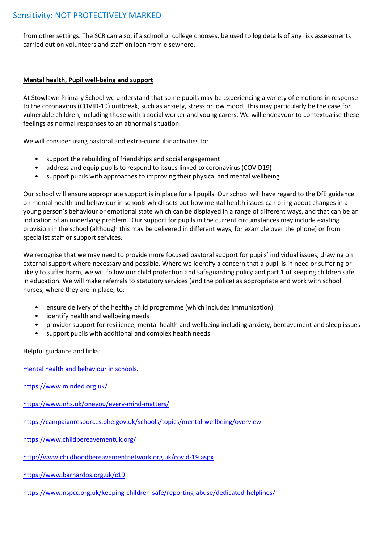# Sensitivity: NOT PROTECTIVELY MARKED

from other settings. The SCR can also, if a school or college chooses, be used to log details of any risk assessments carried out on volunteers and staff on loan from elsewhere.

#### **Mental health, Pupil well-being and support**

At Stowlawn Primary School we understand that some pupils may be experiencing a variety of emotions in response to the coronavirus (COVID-19) outbreak, such as anxiety, stress or low mood. This may particularly be the case for vulnerable children, including those with a social worker and young carers. We will endeavour to contextualise these feelings as normal responses to an abnormal situation.

We will consider using pastoral and extra-curricular activities to:

- support the rebuilding of friendships and social engagement
- address and equip pupils to respond to issues linked to coronavirus (COVID19)
- support pupils with approaches to improving their physical and mental wellbeing

Our school will ensure appropriate support is in place for all pupils. Our school will have regard to the DfE guidance on mental health and behaviour in schools which sets out how mental health issues can bring about changes in a young person's behaviour or emotional state which can be displayed in a range of different ways, and that can be an indication of an underlying problem. Our support for pupils in the current circumstances may include existing provision in the school (although this may be delivered in different ways, for example over the phone) or from specialist staff or support services.

We recognise that we may need to provide more focused pastoral support for pupils' individual issues, drawing on external support where necessary and possible. Where we identify a concern that a pupil is in need or suffering or likely to suffer harm, we will follow our child protection and safeguarding policy and part 1 of keeping children safe in education. We will make referrals to statutory services (and the police) as appropriate and work with school nurses, where they are in place, to:

- ensure delivery of the healthy child programme (which includes immunisation)
- identify health and wellbeing needs
- provider support for resilience, mental health and wellbeing including anxiety, bereavement and sleep issues
- support pupils with additional and complex health needs

Helpful guidance and links:

[mental health and behaviour in schools.](https://www.gov.uk/government/publications/mental-health-and-behaviour-in-schools--2)

<https://www.minded.org.uk/>

<https://www.nhs.uk/oneyou/every-mind-matters/>

<https://campaignresources.phe.gov.uk/schools/topics/mental-wellbeing/overview>

<https://www.childbereavementuk.org/>

<http://www.childhoodbereavementnetwork.org.uk/covid-19.aspx>

<https://www.barnardos.org.uk/c19>

<https://www.nspcc.org.uk/keeping-children-safe/reporting-abuse/dedicated-helplines/>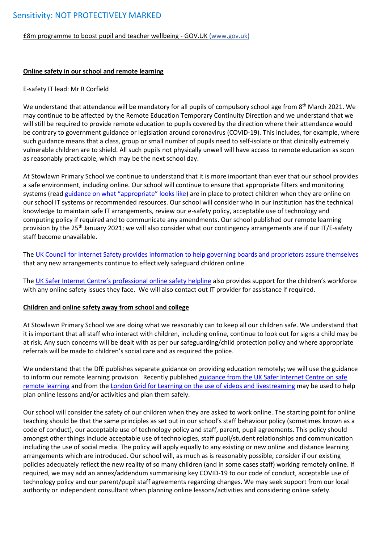[£8m programme to boost pupil and teacher wellbeing -](https://www.gov.uk/government/news/8m-programme-to-boost-pupil-and-teacher-wellbeing) GOV.UK (www.gov.uk)

### **Online safety in our school and remote learning**

#### E-safety IT lead: Mr R Corfield

We understand that attendance will be mandatory for all pupils of compulsory school age from 8<sup>th</sup> March 2021. We may continue to be affected by the Remote Education Temporary Continuity Direction and we understand that we will still be required to provide remote education to pupils covered by the direction where their attendance would be contrary to government guidance or legislation around coronavirus (COVID-19). This includes, for example, where such guidance means that a class, group or small number of pupils need to self-isolate or that clinically extremely vulnerable children are to shield. All such pupils not physically unwell will have access to remote education as soon as reasonably practicable, which may be the next school day.

At Stowlawn Primary School we continue to understand that it is more important than ever that our school provides a safe environment, including online. Our school will continue to ensure that appropriate filters and monitoring systems (read [guidance on what "appropriate" looks like](https://www.saferinternet.org.uk/advice-centre/teachers-and-school-staff/appropriate-filtering-and-monitoring)) are in place to protect children when they are online on our school IT systems or recommended resources. Our school will consider who in our institution has the technical knowledge to maintain safe IT arrangements, review our e-safety policy, acceptable use of technology and computing policy if required and to communicate any amendments. Our school published our remote learning provision by the 25<sup>th</sup> January 2021; we will also consider what our contingency arrangements are if our IT/E-safety staff become unavailable.

The [UK Council for Internet Safety provides information to help governing boards and proprietors assure themselves](https://www.gov.uk/government/publications/online-safety-in-schools-and-colleges-questions-from-the-governing-board) that any new arrangements continue to effectively safeguard children online.

The [UK Safer Internet Centre's professional online safety helpline](https://www.saferinternet.org.uk/helpline/professionals-online-safety-helpline) also provides support for the children's workforce with any online safety issues they face. We will also contact out IT provider for assistance if required.

#### **Children and online safety away from school and college**

At Stowlawn Primary School we are doing what we reasonably can to keep all our children safe. We understand that it is important that all staff who interact with children, including online, continue to look out for signs a child may be at risk. Any such concerns will be dealt with as per our safeguarding/child protection policy and where appropriate referrals will be made to children's social care and as required the police.

We understand that the DfE publishes separate guidance on providing education remotely; we will use the guidance to inform our remote learning provision. Recently published [guidance from the UK Safer Internet Centre on safe](https://swgfl.org.uk/resources/safe-remote-learning/)  [remote learning](https://swgfl.org.uk/resources/safe-remote-learning/) and from the [London Grid for Learning on the use of videos and livestreaming](https://static.lgfl.net/LgflNet/downloads/digisafe/Safe-Lessons-by-Video-and-Livestream.pdf) may be used to help plan online lessons and/or activities and plan them safely.

Our school will consider the safety of our children when they are asked to work online. The starting point for online teaching should be that the same principles as set out in our school's staff behaviour policy (sometimes known as a code of conduct), our acceptable use of technology policy and staff, parent, pupil agreements. This policy should amongst other things include acceptable use of technologies, staff pupil/student relationships and communication including the use of social media. The policy will apply equally to any existing or new online and distance learning arrangements which are introduced. Our school will, as much as is reasonably possible, consider if our existing policies adequately reflect the new reality of so many children (and in some cases staff) working remotely online. If required, we may add an annex/addendum summarising key COVID-19 to our code of conduct, acceptable use of technology policy and our parent/pupil staff agreements regarding changes. We may seek support from our local authority or independent consultant when planning online lessons/activities and considering online safety.